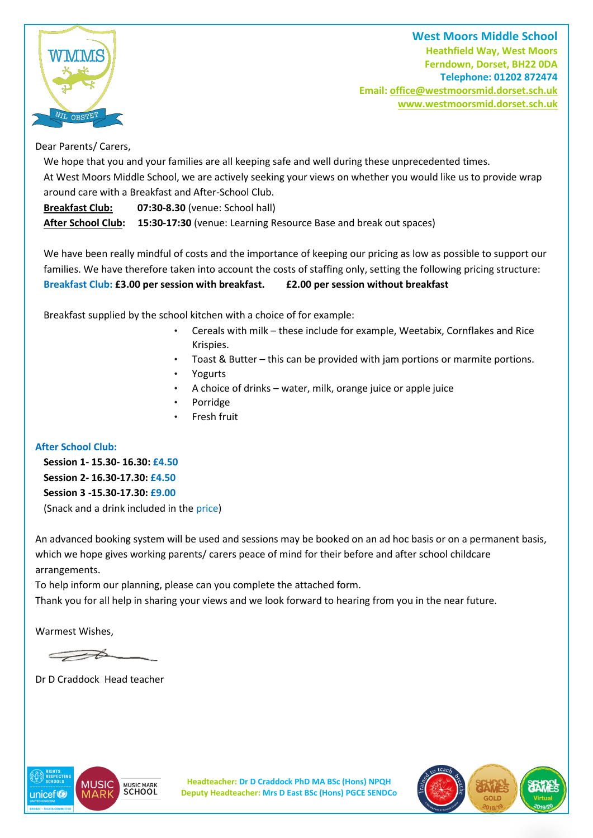

**West Moors Middle School Heathfield Way, West Moors Ferndown, Dorset, BH22 0DA Telephone: 01202 872474 Email[: office@westmoorsmid.dorset.sch.uk](mailto:office@westmoorsmid.dorset.sch.uk) www.westmoorsmid.dorset.sch.uk**

## Dear Parents/ Carers,

We hope that you and your families are all keeping safe and well during these unprecedented times. At West Moors Middle School, we are actively seeking your views on whether you would like us to provide wrap around care with a Breakfast and After-School Club.

**Breakfast Club: 07:30-8.30** (venue: School hall)

**After School Club: 15:30-17:30** (venue: Learning Resource Base and break out spaces)

We have been really mindful of costs and the importance of keeping our pricing as low as possible to support our families. We have therefore taken into account the costs of staffing only, setting the following pricing structure: **Breakfast Club: £3.00 per session with breakfast. £2.00 per session without breakfast**

Breakfast supplied by the school kitchen with a choice of for example:

- Cereals with milk these include for example, Weetabix, Cornflakes and Rice Krispies.
- Toast & Butter this can be provided with jam portions or marmite portions.
- Yogurts
- A choice of drinks water, milk, orange juice or apple juice
- Porridge
- Fresh fruit

## **After School Club:**

**Session 1- 15.30- 16.30: £4.50 Session 2- 16.30-17.30: £4.50 Session 3 -15.30-17.30: £9.00** (Snack and a drink included in the price)

An advanced booking system will be used and sessions may be booked on an ad hoc basis or on a permanent basis, which we hope gives working parents/ carers peace of mind for their before and after school childcare arrangements.

To help inform our planning, please can you complete the attached form.

Thank you for all help in sharing your views and we look forward to hearing from you in the near future.

Warmest Wishes,

 $\overline{\longrightarrow}$ 

Dr D Craddock Head teacher



**Headteacher: Dr D Craddock PhD MA BSc (Hons) NPQH Deputy Headteacher: Mrs D East BSc (Hons) PGCE SENDCo**